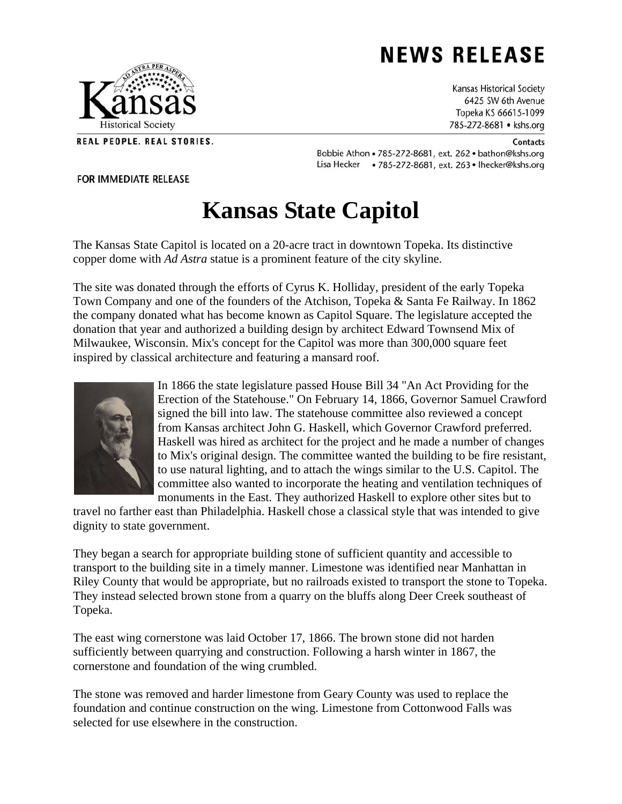# **NEWS RELEASE**

Kansas Historical Society 6425 SW 6th Avenue Topeka KS 66615-1099 785-272-8681 • kshs.org

Bobbie Athon . 785-272-8681, ext. 262 . bathon@kshs.org Lisa Hecker • 785-272-8681, ext. 263 • Ihecker@kshs.org

#### **FOR IMMEDIATE RELEASE**

## **Kansas State Capitol**

The Kansas State Capitol is located on a 20-acre tract in downtown Topeka. Its distinctive copper dome with *Ad Astra* statue is a prominent feature of the city skyline.

The site was donated through the efforts of Cyrus K. Holliday, president of the early Topeka Town Company and one of the founders of the Atchison, Topeka & Santa Fe Railway. In 1862 the company donated what has become known as Capitol Square. The legislature accepted the donation that year and authorized a building design by architect Edward Townsend Mix of Milwaukee, Wisconsin. Mix's concept for the Capitol was more than 300,000 square feet inspired by classical architecture and featuring a mansard roof.

> In 1866 the state legislature passed House Bill 34 "An Act Providing for the Erection of the Statehouse." On February 14, 1866, Governor Samuel Crawford signed the bill into law. The statehouse committee also reviewed a concept from Kansas architect John G. Haskell, which Governor Crawford preferred. Haskell was hired as architect for the project and he made a number of changes to Mix's original design. The committee wanted the building to be fire resistant, to use natural lighting, and to attach the wings similar to the U.S. Capitol. The committee also wanted to incorporate the heating and ventilation techniques of monuments in the East. They authorized Haskell to explore other sites but to

travel no farther east than Philadelphia. Haskell chose a classical style that was intended to give dignity to state government.

They began a search for appropriate building stone of sufficient quantity and accessible to transport to the building site in a timely manner. Limestone was identified near Manhattan in Riley County that would be appropriate, but no railroads existed to transport the stone to Topeka. They instead selected brown stone from a quarry on the bluffs along Deer Creek southeast of Topeka.

The east wing cornerstone was laid October 17, 1866. The brown stone did not harden sufficiently between quarrying and construction. Following a harsh winter in 1867, the cornerstone and foundation of the wing crumbled.

The stone was removed and harder limestone from Geary County was used to replace the foundation and continue construction on the wing. Limestone from Cottonwood Falls was selected for use elsewhere in the construction.



REAL PEOPLE. REAL STORIES.



### Contacts